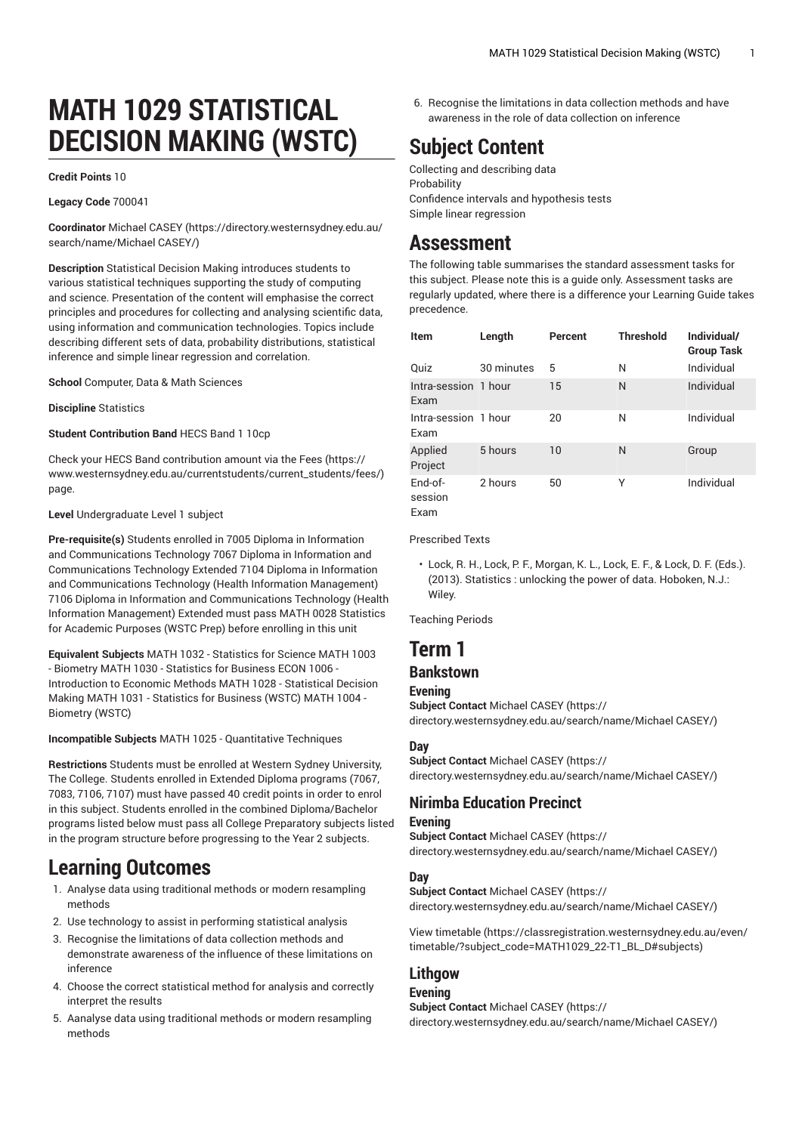# **MATH 1029 STATISTICAL DECISION MAKING (WSTC)**

#### **Credit Points** 10

#### **Legacy Code** 700041

**Coordinator** [Michael CASEY \(https://directory.westernsydney.edu.au/](https://directory.westernsydney.edu.au/search/name/Michael CASEY/) [search/name/Michael](https://directory.westernsydney.edu.au/search/name/Michael CASEY/) CASEY/)

**Description** Statistical Decision Making introduces students to various statistical techniques supporting the study of computing and science. Presentation of the content will emphasise the correct principles and procedures for collecting and analysing scientific data, using information and communication technologies. Topics include describing different sets of data, probability distributions, statistical inference and simple linear regression and correlation.

**School** Computer, Data & Math Sciences

**Discipline** Statistics

**Student Contribution Band** HECS Band 1 10cp

Check your HECS Band contribution amount via the [Fees \(https://](https://www.westernsydney.edu.au/currentstudents/current_students/fees/) [www.westernsydney.edu.au/currentstudents/current\\_students/fees/\)](https://www.westernsydney.edu.au/currentstudents/current_students/fees/) page.

#### **Level** Undergraduate Level 1 subject

**Pre-requisite(s)** Students enrolled in 7005 Diploma in Information and Communications Technology 7067 Diploma in Information and Communications Technology Extended 7104 Diploma in Information and Communications Technology (Health Information Management) 7106 Diploma in Information and Communications Technology (Health Information Management) Extended must pass [MATH](/search/?P=MATH%200028) 0028 Statistics for Academic Purposes (WSTC Prep) before enrolling in this unit

**Equivalent Subjects** MATH 1032 - Statistics for Science [MATH](/search/?P=MATH%201003) 1003 - Biometry [MATH](/search/?P=MATH%201030) 1030 - Statistics for Business [ECON 1006](/search/?P=ECON%201006) - Introduction to Economic Methods [MATH](/search/?P=MATH%201028) 1028 - Statistical Decision Making [MATH](/search/?P=MATH%201031) 1031 - Statistics for Business (WSTC) [MATH](/search/?P=MATH%201004) 1004 - Biometry (WSTC)

#### **Incompatible Subjects** MATH 1025 - Quantitative Techniques

**Restrictions** Students must be enrolled at Western Sydney University, The College. Students enrolled in Extended Diploma programs (7067, 7083, 7106, 7107) must have passed 40 credit points in order to enrol in this subject. Students enrolled in the combined Diploma/Bachelor programs listed below must pass all College Preparatory subjects listed in the program structure before progressing to the Year 2 subjects.

## **Learning Outcomes**

- 1. Analyse data using traditional methods or modern resampling methods
- 2. Use technology to assist in performing statistical analysis
- 3. Recognise the limitations of data collection methods and demonstrate awareness of the influence of these limitations on inference
- 4. Choose the correct statistical method for analysis and correctly interpret the results
- 5. Aanalyse data using traditional methods or modern resampling methods

6. Recognise the limitations in data collection methods and have awareness in the role of data collection on inference

## **Subject Content**

Collecting and describing data Probability Confidence intervals and hypothesis tests Simple linear regression

## **Assessment**

The following table summarises the standard assessment tasks for this subject. Please note this is a guide only. Assessment tasks are regularly updated, where there is a difference your Learning Guide takes precedence.

| <b>Item</b>                  | Length     | Percent | <b>Threshold</b> | Individual/<br><b>Group Task</b> |
|------------------------------|------------|---------|------------------|----------------------------------|
| Quiz                         | 30 minutes | 5       | N                | Individual                       |
| Intra-session 1 hour<br>Exam |            | 15      | N                | Individual                       |
| Intra-session 1 hour<br>Exam |            | 20      | N                | Individual                       |
| Applied<br>Project           | 5 hours    | 10      | N                | Group                            |
| $End-of-$<br>session<br>Fxam | 2 hours    | 50      | Υ                | Individual                       |

Prescribed Texts

• Lock, R. H., Lock, P. F., Morgan, K. L., Lock, E. F., & Lock, D. F. (Eds.). (2013). Statistics : unlocking the power of data. Hoboken, N.J.: Wiley.

Teaching Periods

## **Term 1**

## **Bankstown**

**Evening**

**Subject Contact** [Michael CASEY](https://directory.westernsydney.edu.au/search/name/Michael CASEY/) ([https://](https://directory.westernsydney.edu.au/search/name/Michael CASEY/) [directory.westernsydney.edu.au/search/name/Michael](https://directory.westernsydney.edu.au/search/name/Michael CASEY/) CASEY/)

#### **Day**

**Subject Contact** [Michael CASEY](https://directory.westernsydney.edu.au/search/name/Michael CASEY/) ([https://](https://directory.westernsydney.edu.au/search/name/Michael CASEY/) [directory.westernsydney.edu.au/search/name/Michael](https://directory.westernsydney.edu.au/search/name/Michael CASEY/) CASEY/)

## **Nirimba Education Precinct**

### **Evening**

**Subject Contact** [Michael CASEY](https://directory.westernsydney.edu.au/search/name/Michael CASEY/) ([https://](https://directory.westernsydney.edu.au/search/name/Michael CASEY/) [directory.westernsydney.edu.au/search/name/Michael](https://directory.westernsydney.edu.au/search/name/Michael CASEY/) CASEY/)

#### **Day**

**Subject Contact** [Michael CASEY](https://directory.westernsydney.edu.au/search/name/Michael CASEY/) ([https://](https://directory.westernsydney.edu.au/search/name/Michael CASEY/) [directory.westernsydney.edu.au/search/name/Michael](https://directory.westernsydney.edu.au/search/name/Michael CASEY/) CASEY/)

[View timetable](https://classregistration.westernsydney.edu.au/even/timetable/?subject_code=MATH1029_22-T1_BL_D#subjects) [\(https://classregistration.westernsydney.edu.au/even/](https://classregistration.westernsydney.edu.au/even/timetable/?subject_code=MATH1029_22-T1_BL_D#subjects) [timetable/?subject\\_code=MATH1029\\_22-T1\\_BL\\_D#subjects\)](https://classregistration.westernsydney.edu.au/even/timetable/?subject_code=MATH1029_22-T1_BL_D#subjects)

## **Lithgow**

### **Evening**

**Subject Contact** [Michael CASEY](https://directory.westernsydney.edu.au/search/name/Michael CASEY/) ([https://](https://directory.westernsydney.edu.au/search/name/Michael CASEY/) [directory.westernsydney.edu.au/search/name/Michael](https://directory.westernsydney.edu.au/search/name/Michael CASEY/) CASEY/)